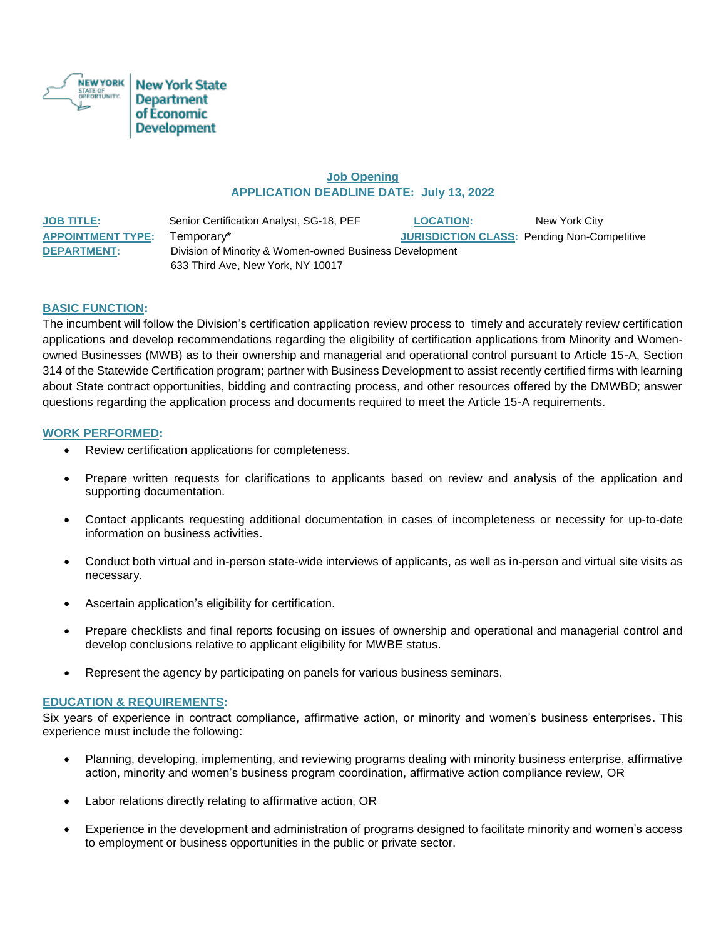

# **Job Opening APPLICATION DEADLINE DATE: July 13, 2022**

| <u>JOB TITLE:</u>        | Senior Certification Analyst, SG-18, PEF                | <b>LOCATION:</b> | New York City                                      |
|--------------------------|---------------------------------------------------------|------------------|----------------------------------------------------|
| <b>APPOINTMENT TYPE:</b> | Temporary*                                              |                  | <b>JURISDICTION CLASS: Pending Non-Competitive</b> |
| <b>DEPARTMENT:</b>       | Division of Minority & Women-owned Business Development |                  |                                                    |
|                          | 633 Third Ave, New York, NY 10017                       |                  |                                                    |

# **BASIC FUNCTION:**

The incumbent will follow the Division's certification application review process to timely and accurately review certification applications and develop recommendations regarding the eligibility of certification applications from Minority and Womenowned Businesses (MWB) as to their ownership and managerial and operational control pursuant to Article 15-A, Section 314 of the Statewide Certification program; partner with Business Development to assist recently certified firms with learning about State contract opportunities, bidding and contracting process, and other resources offered by the DMWBD; answer questions regarding the application process and documents required to meet the Article 15-A requirements.

### **WORK PERFORMED:**

- Review certification applications for completeness.
- Prepare written requests for clarifications to applicants based on review and analysis of the application and supporting documentation.
- Contact applicants requesting additional documentation in cases of incompleteness or necessity for up-to-date information on business activities.
- Conduct both virtual and in-person state-wide interviews of applicants, as well as in-person and virtual site visits as necessary.
- Ascertain application's eligibility for certification.
- Prepare checklists and final reports focusing on issues of ownership and operational and managerial control and develop conclusions relative to applicant eligibility for MWBE status.
- Represent the agency by participating on panels for various business seminars.

#### **EDUCATION & REQUIREMENTS:**

Six years of experience in contract compliance, affirmative action, or minority and women's business enterprises. This experience must include the following:

- Planning, developing, implementing, and reviewing programs dealing with minority business enterprise, affirmative action, minority and women's business program coordination, affirmative action compliance review, OR
- Labor relations directly relating to affirmative action, OR
- Experience in the development and administration of programs designed to facilitate minority and women's access to employment or business opportunities in the public or private sector.